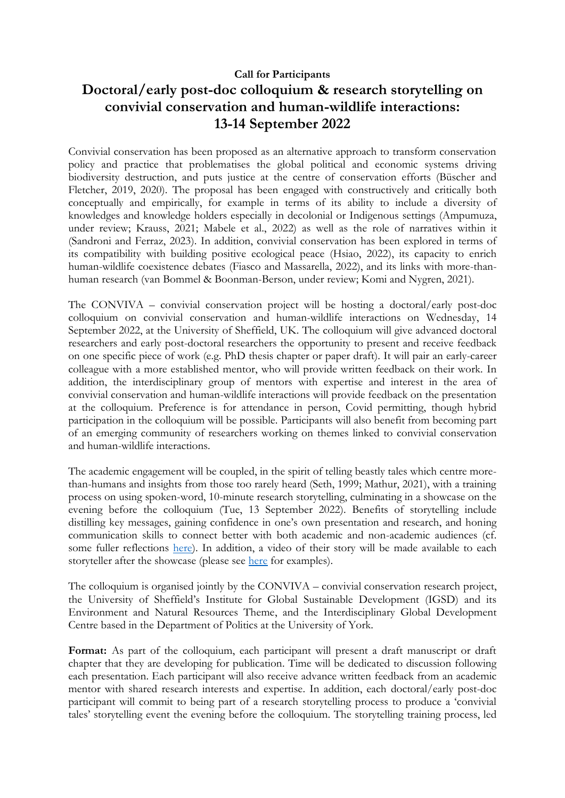## **Call for Participants**

## **Doctoral/early post-doc colloquium & research storytelling on convivial conservation and human-wildlife interactions: 13-14 September 2022**

Convivial conservation has been proposed as an alternative approach to transform conservation policy and practice that problematises the global political and economic systems driving biodiversity destruction, and puts justice at the centre of conservation efforts (Büscher and Fletcher, 2019, 2020). The proposal has been engaged with constructively and critically both conceptually and empirically, for example in terms of its ability to include a diversity of knowledges and knowledge holders especially in decolonial or Indigenous settings (Ampumuza, under review; Krauss, 2021; Mabele et al., 2022) as well as the role of narratives within it (Sandroni and Ferraz, 2023). In addition, convivial conservation has been explored in terms of its compatibility with building positive ecological peace (Hsiao, 2022), its capacity to enrich human-wildlife coexistence debates (Fiasco and Massarella, 2022), and its links with more-thanhuman research (van Bommel & Boonman-Berson, under review; Komi and Nygren, 2021).

The CONVIVA – convivial conservation project will be hosting a doctoral/early post-doc colloquium on convivial conservation and human-wildlife interactions on Wednesday, 14 September 2022, at the University of Sheffield, UK. The colloquium will give advanced doctoral researchers and early post-doctoral researchers the opportunity to present and receive feedback on one specific piece of work (e.g. PhD thesis chapter or paper draft). It will pair an early-career colleague with a more established mentor, who will provide written feedback on their work. In addition, the interdisciplinary group of mentors with expertise and interest in the area of convivial conservation and human-wildlife interactions will provide feedback on the presentation at the colloquium. Preference is for attendance in person, Covid permitting, though hybrid participation in the colloquium will be possible. Participants will also benefit from becoming part of an emerging community of researchers working on themes linked to convivial conservation and human-wildlife interactions.

The academic engagement will be coupled, in the spirit of telling beastly tales which centre morethan-humans and insights from those too rarely heard (Seth, 1999; Mathur, 2021), with a training process on using spoken-word, 10-minute research storytelling, culminating in a showcase on the evening before the colloquium (Tue, 13 September 2022). Benefits of storytelling include distilling key messages, gaining confidence in one's own presentation and research, and honing communication skills to connect better with both academic and non-academic audiences (cf. some fuller reflections [here\)](http://siid.group.shef.ac.uk/blog/research-and-storytelling-how-does-that-go-together-reflections-and-lessons-from-a-memorable-journey/). In addition, a video of their story will be made available to each storyteller after the showcase (please see [here](https://digitalmedia.sheffield.ac.uk/channel/Tales%2Bfrom%2Bthe%2BGlobal%2BSouth%2B-%2BResearch%2Bstorytelling/151388961) for examples).

The colloquium is organised jointly by the CONVIVA – convivial conservation research project, the University of Sheffield's Institute for Global Sustainable Development (IGSD) and its Environment and Natural Resources Theme, and the Interdisciplinary Global Development Centre based in the Department of Politics at the University of York.

Format: As part of the colloquium, each participant will present a draft manuscript or draft chapter that they are developing for publication. Time will be dedicated to discussion following each presentation. Each participant will also receive advance written feedback from an academic mentor with shared research interests and expertise. In addition, each doctoral/early post-doc participant will commit to being part of a research storytelling process to produce a 'convivial tales' storytelling event the evening before the colloquium. The storytelling training process, led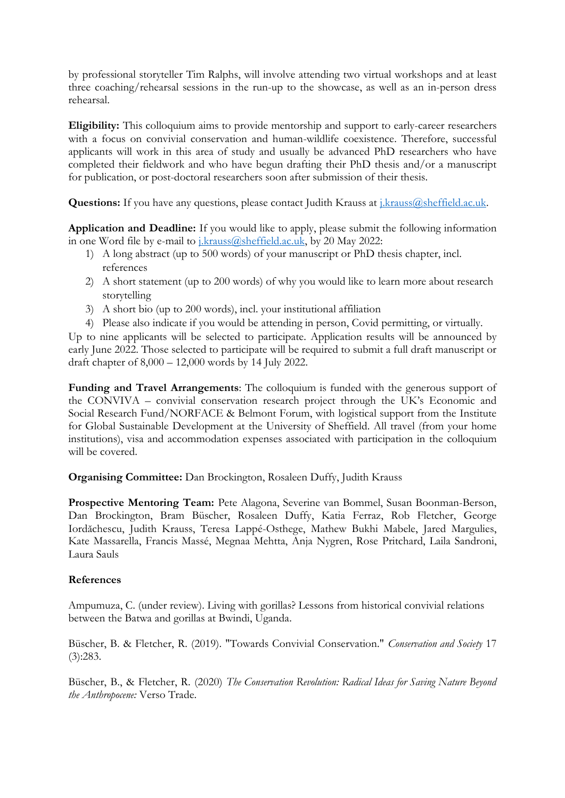by professional storyteller Tim Ralphs, will involve attending two virtual workshops and at least three coaching/rehearsal sessions in the run-up to the showcase, as well as an in-person dress rehearsal.

**Eligibility:** This colloquium aims to provide mentorship and support to early-career researchers with a focus on convivial conservation and human-wildlife coexistence. Therefore, successful applicants will work in this area of study and usually be advanced PhD researchers who have completed their fieldwork and who have begun drafting their PhD thesis and/or a manuscript for publication, or post-doctoral researchers soon after submission of their thesis.

**Questions:** If you have any questions, please contact Judith Krauss at [j.krauss@sheffield.ac.uk.](mailto:j.krauss@sheffield.ac.uk)

**Application and Deadline:** If you would like to apply, please submit the following information in one Word file by e-mail to [j.krauss@sheffield.ac.uk,](mailto:j.krauss@sheffield.ac.uk) by 20 May 2022:

- 1) A long abstract (up to 500 words) of your manuscript or PhD thesis chapter, incl. references
- 2) A short statement (up to 200 words) of why you would like to learn more about research storytelling
- 3) A short bio (up to 200 words), incl. your institutional affiliation
- 4) Please also indicate if you would be attending in person, Covid permitting, or virtually.

Up to nine applicants will be selected to participate. Application results will be announced by early June 2022. Those selected to participate will be required to submit a full draft manuscript or draft chapter of 8,000 – 12,000 words by 14 July 2022.

**Funding and Travel Arrangements**: The colloquium is funded with the generous support of the CONVIVA – convivial conservation research project through the UK's Economic and Social Research Fund/NORFACE & Belmont Forum, with logistical support from the Institute for Global Sustainable Development at the University of Sheffield. All travel (from your home institutions), visa and accommodation expenses associated with participation in the colloquium will be covered.

**Organising Committee:** Dan Brockington, Rosaleen Duffy, Judith Krauss

**Prospective Mentoring Team:** Pete Alagona, Severine van Bommel, Susan Boonman-Berson, Dan Brockington, Bram Büscher, Rosaleen Duffy, Katia Ferraz, Rob Fletcher, George Iordăchescu, Judith Krauss, Teresa Lappé-Osthege, Mathew Bukhi Mabele, Jared Margulies, Kate Massarella, Francis Massé, Megnaa Mehtta, Anja Nygren, Rose Pritchard, Laila Sandroni, Laura Sauls

## **References**

Ampumuza, C. (under review). Living with gorillas? Lessons from historical convivial relations between the Batwa and gorillas at Bwindi, Uganda.

Büscher, B. & Fletcher, R. (2019). "Towards Convivial Conservation." *Conservation and Society* 17 (3):283.

Büscher, B., & Fletcher, R. (2020) *The Conservation Revolution: Radical Ideas for Saving Nature Beyond the Anthropocene:* Verso Trade.